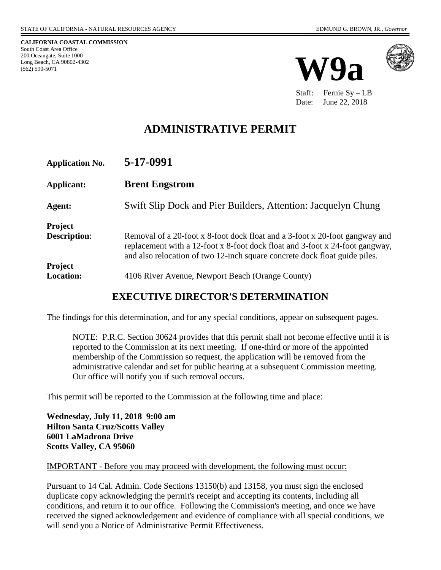**CALIFORNIA COASTAL COMMISSION** South Coast Area Office 200 Oceangate, Suite 1000 Long Beach, CA 90802-4302 (562) 590-5071





Staff: Fernie Sy – LB Date: June 22, 2018

# **ADMINISTRATIVE PERMIT**

| <b>Application No.</b>                | 5-17-0991                                                                                                                                                                                                                                 |
|---------------------------------------|-------------------------------------------------------------------------------------------------------------------------------------------------------------------------------------------------------------------------------------------|
| Applicant:                            | <b>Brent Engstrom</b>                                                                                                                                                                                                                     |
| Agent:                                | Swift Slip Dock and Pier Builders, Attention: Jacquelyn Chung                                                                                                                                                                             |
| <b>Project</b><br><b>Description:</b> | Removal of a 20-foot x 8-foot dock float and a 3-foot x 20-foot gangway and<br>replacement with a 12-foot x 8-foot dock float and 3-foot x 24-foot gangway,<br>and also relocation of two 12-inch square concrete dock float guide piles. |
| <b>Project</b><br><b>Location:</b>    | 4106 River Avenue, Newport Beach (Orange County)                                                                                                                                                                                          |

### **EXECUTIVE DIRECTOR'S DETERMINATION**

The findings for this determination, and for any special conditions, appear on subsequent pages.

NOTE: P.R.C. Section 30624 provides that this permit shall not become effective until it is reported to the Commission at its next meeting. If one-third or more of the appointed membership of the Commission so request, the application will be removed from the administrative calendar and set for public hearing at a subsequent Commission meeting. Our office will notify you if such removal occurs.

This permit will be reported to the Commission at the following time and place:

**Wednesday, July 11, 2018 9:00 am Hilton Santa Cruz/Scotts Valley 6001 LaMadrona Drive Scotts Valley, CA 95060** 

#### IMPORTANT - Before you may proceed with development, the following must occur:

Pursuant to 14 Cal. Admin. Code Sections 13150(b) and 13158, you must sign the enclosed duplicate copy acknowledging the permit's receipt and accepting its contents, including all conditions, and return it to our office. Following the Commission's meeting, and once we have received the signed acknowledgement and evidence of compliance with all special conditions, we will send you a Notice of Administrative Permit Effectiveness.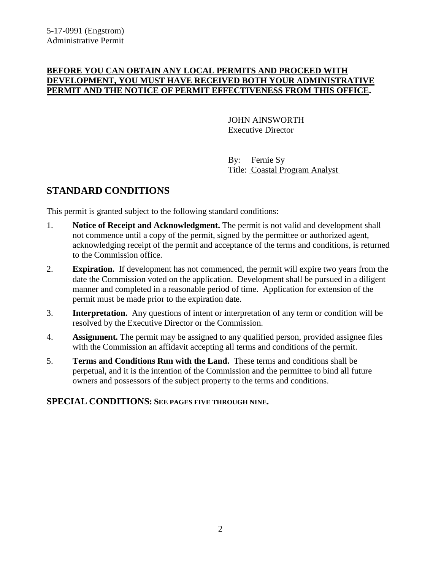### **BEFORE YOU CAN OBTAIN ANY LOCAL PERMITS AND PROCEED WITH DEVELOPMENT, YOU MUST HAVE RECEIVED BOTH YOUR ADMINISTRATIVE PERMIT AND THE NOTICE OF PERMIT EFFECTIVENESS FROM THIS OFFICE.**

 JOHN AINSWORTH Executive Director

 By: Fernie Sy Title: Coastal Program Analyst

## **STANDARD CONDITIONS**

This permit is granted subject to the following standard conditions:

- 1. **Notice of Receipt and Acknowledgment.** The permit is not valid and development shall not commence until a copy of the permit, signed by the permittee or authorized agent, acknowledging receipt of the permit and acceptance of the terms and conditions, is returned to the Commission office.
- 2. **Expiration.** If development has not commenced, the permit will expire two years from the date the Commission voted on the application. Development shall be pursued in a diligent manner and completed in a reasonable period of time. Application for extension of the permit must be made prior to the expiration date.
- 3. **Interpretation.** Any questions of intent or interpretation of any term or condition will be resolved by the Executive Director or the Commission.
- 4. **Assignment.** The permit may be assigned to any qualified person, provided assignee files with the Commission an affidavit accepting all terms and conditions of the permit.
- 5. **Terms and Conditions Run with the Land.** These terms and conditions shall be perpetual, and it is the intention of the Commission and the permittee to bind all future owners and possessors of the subject property to the terms and conditions.

### **SPECIAL CONDITIONS: SEE PAGES FIVE THROUGH NINE.**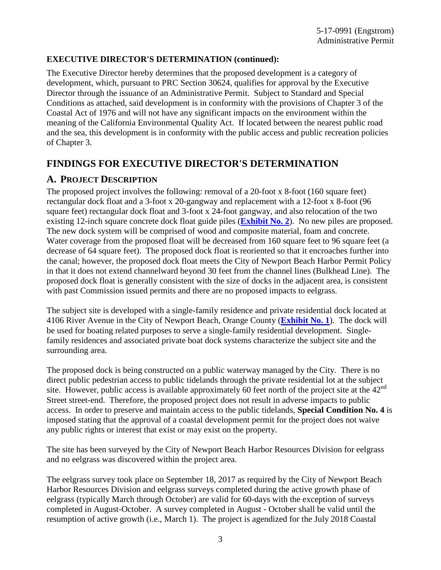### **EXECUTIVE DIRECTOR'S DETERMINATION (continued):**

The Executive Director hereby determines that the proposed development is a category of development, which, pursuant to PRC Section 30624, qualifies for approval by the Executive Director through the issuance of an Administrative Permit. Subject to Standard and Special Conditions as attached, said development is in conformity with the provisions of Chapter 3 of the Coastal Act of 1976 and will not have any significant impacts on the environment within the meaning of the California Environmental Quality Act. If located between the nearest public road and the sea, this development is in conformity with the public access and public recreation policies of Chapter 3.

## **FINDINGS FOR EXECUTIVE DIRECTOR'S DETERMINATION**

### **A. PROJECT DESCRIPTION**

The proposed project involves the following: removal of a 20-foot x 8-foot (160 square feet) rectangular dock float and a 3-foot x 20-gangway and replacement with a 12-foot x 8-foot (96 square feet) rectangular dock float and 3-foot x 24-foot gangway, and also relocation of the two existing 12-inch square concrete dock float guide piles (**[Exhibit No. 2](https://documents.coastal.ca.gov/reports/2018/7/w9a/w9a-7-2018-exhibits.pdf)**). No new piles are proposed. The new dock system will be comprised of wood and composite material, foam and concrete. Water coverage from the proposed float will be decreased from 160 square feet to 96 square feet (a decrease of 64 square feet). The proposed dock float is reoriented so that it encroaches further into the canal; however, the proposed dock float meets the City of Newport Beach Harbor Permit Policy in that it does not extend channelward beyond 30 feet from the channel lines (Bulkhead Line). The proposed dock float is generally consistent with the size of docks in the adjacent area, is consistent with past Commission issued permits and there are no proposed impacts to eelgrass.

The subject site is developed with a single-family residence and private residential dock located at 4106 River Avenue in the City of Newport Beach, Orange County (**[Exhibit No. 1](https://documents.coastal.ca.gov/reports/2018/7/w9a/w9a-7-2018-exhibits.pdf)**). The dock will be used for boating related purposes to serve a single-family residential development. Singlefamily residences and associated private boat dock systems characterize the subject site and the surrounding area.

The proposed dock is being constructed on a public waterway managed by the City. There is no direct public pedestrian access to public tidelands through the private residential lot at the subject site. However, public access is available approximately 60 feet north of the project site at the  $42<sup>nd</sup>$ Street street-end. Therefore, the proposed project does not result in adverse impacts to public access. In order to preserve and maintain access to the public tidelands, **Special Condition No. 4** is imposed stating that the approval of a coastal development permit for the project does not waive any public rights or interest that exist or may exist on the property.

The site has been surveyed by the City of Newport Beach Harbor Resources Division for eelgrass and no eelgrass was discovered within the project area.

The eelgrass survey took place on September 18, 2017 as required by the City of Newport Beach Harbor Resources Division and eelgrass surveys completed during the active growth phase of eelgrass (typically March through October) are valid for 60-days with the exception of surveys completed in August-October. A survey completed in August - October shall be valid until the resumption of active growth (i.e., March 1). The project is agendized for the July 2018 Coastal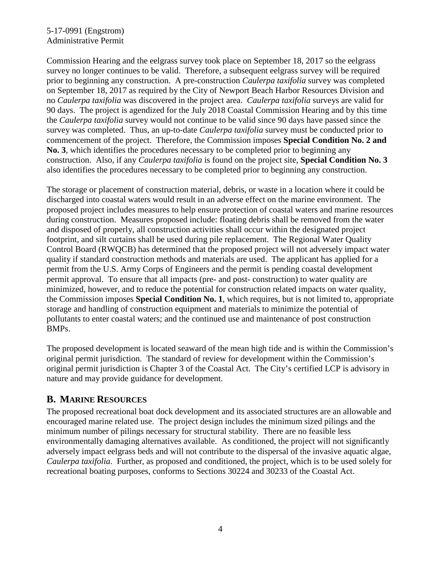### 5-17-0991 (Engstrom) Administrative Permit

Commission Hearing and the eelgrass survey took place on September 18, 2017 so the eelgrass survey no longer continues to be valid. Therefore, a subsequent eelgrass survey will be required prior to beginning any construction. A pre-construction *Caulerpa taxifolia* survey was completed on September 18, 2017 as required by the City of Newport Beach Harbor Resources Division and no *Caulerpa taxifolia* was discovered in the project area. *Caulerpa taxifolia* surveys are valid for 90 days. The project is agendized for the July 2018 Coastal Commission Hearing and by this time the *Caulerpa taxifolia* survey would not continue to be valid since 90 days have passed since the survey was completed. Thus, an up-to-date *Caulerpa taxifolia* survey must be conducted prior to commencement of the project. Therefore, the Commission imposes **Special Condition No. 2 and No. 3**, which identifies the procedures necessary to be completed prior to beginning any construction. Also, if any *Caulerpa taxifolia* is found on the project site, **Special Condition No. 3** also identifies the procedures necessary to be completed prior to beginning any construction.

The storage or placement of construction material, debris, or waste in a location where it could be discharged into coastal waters would result in an adverse effect on the marine environment. The proposed project includes measures to help ensure protection of coastal waters and marine resources during construction. Measures proposed include: floating debris shall be removed from the water and disposed of properly, all construction activities shall occur within the designated project footprint, and silt curtains shall be used during pile replacement. The Regional Water Quality Control Board (RWQCB) has determined that the proposed project will not adversely impact water quality if standard construction methods and materials are used. The applicant has applied for a permit from the U.S. Army Corps of Engineers and the permit is pending coastal development permit approval. To ensure that all impacts (pre- and post- construction) to water quality are minimized, however, and to reduce the potential for construction related impacts on water quality, the Commission imposes **Special Condition No. 1**, which requires, but is not limited to, appropriate storage and handling of construction equipment and materials to minimize the potential of pollutants to enter coastal waters; and the continued use and maintenance of post construction BMPs.

The proposed development is located seaward of the mean high tide and is within the Commission's original permit jurisdiction. The standard of review for development within the Commission's original permit jurisdiction is Chapter 3 of the Coastal Act. The City's certified LCP is advisory in nature and may provide guidance for development.

### **B. MARINE RESOURCES**

The proposed recreational boat dock development and its associated structures are an allowable and encouraged marine related use. The project design includes the minimum sized pilings and the minimum number of pilings necessary for structural stability. There are no feasible less environmentally damaging alternatives available. As conditioned, the project will not significantly adversely impact eelgrass beds and will not contribute to the dispersal of the invasive aquatic algae, *Caulerpa taxifolia*. Further, as proposed and conditioned, the project, which is to be used solely for recreational boating purposes, conforms to Sections 30224 and 30233 of the Coastal Act.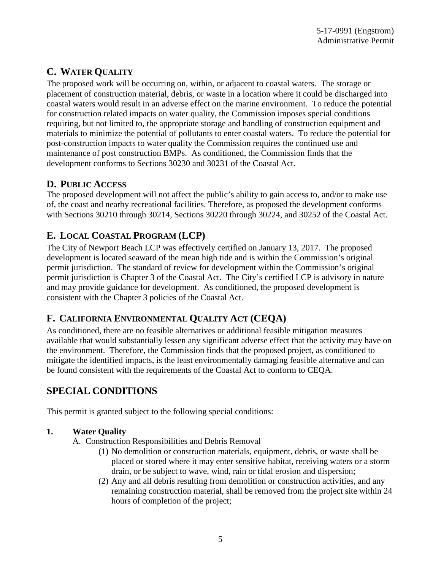# **C. WATER QUALITY**

The proposed work will be occurring on, within, or adjacent to coastal waters. The storage or placement of construction material, debris, or waste in a location where it could be discharged into coastal waters would result in an adverse effect on the marine environment. To reduce the potential for construction related impacts on water quality, the Commission imposes special conditions requiring, but not limited to, the appropriate storage and handling of construction equipment and materials to minimize the potential of pollutants to enter coastal waters. To reduce the potential for post-construction impacts to water quality the Commission requires the continued use and maintenance of post construction BMPs. As conditioned, the Commission finds that the development conforms to Sections 30230 and 30231 of the Coastal Act.

## **D. PUBLIC ACCESS**

The proposed development will not affect the public's ability to gain access to, and/or to make use of, the coast and nearby recreational facilities. Therefore, as proposed the development conforms with Sections 30210 through 30214, Sections 30220 through 30224, and 30252 of the Coastal Act.

## **E. LOCAL COASTAL PROGRAM (LCP)**

The City of Newport Beach LCP was effectively certified on January 13, 2017. The proposed development is located seaward of the mean high tide and is within the Commission's original permit jurisdiction. The standard of review for development within the Commission's original permit jurisdiction is Chapter 3 of the Coastal Act. The City's certified LCP is advisory in nature and may provide guidance for development. As conditioned, the proposed development is consistent with the Chapter 3 policies of the Coastal Act.

## **F. CALIFORNIA ENVIRONMENTAL QUALITY ACT (CEQA)**

As conditioned, there are no feasible alternatives or additional feasible mitigation measures available that would substantially lessen any significant adverse effect that the activity may have on the environment. Therefore, the Commission finds that the proposed project, as conditioned to mitigate the identified impacts, is the least environmentally damaging feasible alternative and can be found consistent with the requirements of the Coastal Act to conform to CEQA.

## **SPECIAL CONDITIONS**

This permit is granted subject to the following special conditions:

### **1. Water Quality**

- A. Construction Responsibilities and Debris Removal
	- (1) No demolition or construction materials, equipment, debris, or waste shall be placed or stored where it may enter sensitive habitat, receiving waters or a storm drain, or be subject to wave, wind, rain or tidal erosion and dispersion;
	- (2) Any and all debris resulting from demolition or construction activities, and any remaining construction material, shall be removed from the project site within 24 hours of completion of the project;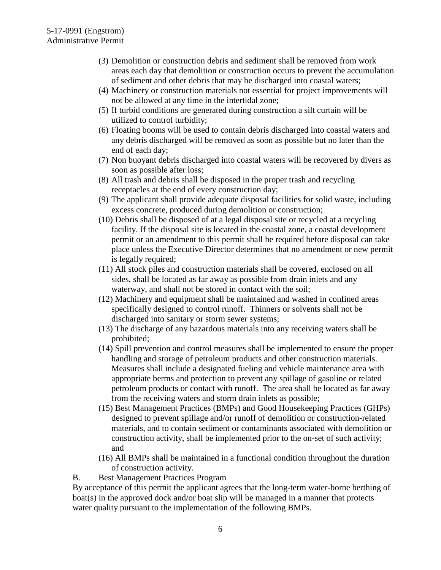- (3) Demolition or construction debris and sediment shall be removed from work areas each day that demolition or construction occurs to prevent the accumulation of sediment and other debris that may be discharged into coastal waters;
- (4) Machinery or construction materials not essential for project improvements will not be allowed at any time in the intertidal zone;
- (5) If turbid conditions are generated during construction a silt curtain will be utilized to control turbidity;
- (6) Floating booms will be used to contain debris discharged into coastal waters and any debris discharged will be removed as soon as possible but no later than the end of each day;
- (7) Non buoyant debris discharged into coastal waters will be recovered by divers as soon as possible after loss;
- (8) All trash and debris shall be disposed in the proper trash and recycling receptacles at the end of every construction day;
- (9) The applicant shall provide adequate disposal facilities for solid waste, including excess concrete, produced during demolition or construction;
- (10) Debris shall be disposed of at a legal disposal site or recycled at a recycling facility. If the disposal site is located in the coastal zone, a coastal development permit or an amendment to this permit shall be required before disposal can take place unless the Executive Director determines that no amendment or new permit is legally required;
- (11) All stock piles and construction materials shall be covered, enclosed on all sides, shall be located as far away as possible from drain inlets and any waterway, and shall not be stored in contact with the soil;
- (12) Machinery and equipment shall be maintained and washed in confined areas specifically designed to control runoff. Thinners or solvents shall not be discharged into sanitary or storm sewer systems;
- (13) The discharge of any hazardous materials into any receiving waters shall be prohibited;
- (14) Spill prevention and control measures shall be implemented to ensure the proper handling and storage of petroleum products and other construction materials. Measures shall include a designated fueling and vehicle maintenance area with appropriate berms and protection to prevent any spillage of gasoline or related petroleum products or contact with runoff. The area shall be located as far away from the receiving waters and storm drain inlets as possible;
- (15) Best Management Practices (BMPs) and Good Housekeeping Practices (GHPs) designed to prevent spillage and/or runoff of demolition or construction-related materials, and to contain sediment or contaminants associated with demolition or construction activity, shall be implemented prior to the on-set of such activity; and
- (16) All BMPs shall be maintained in a functional condition throughout the duration of construction activity.
- B. Best Management Practices Program

By acceptance of this permit the applicant agrees that the long-term water-borne berthing of boat(s) in the approved dock and/or boat slip will be managed in a manner that protects water quality pursuant to the implementation of the following BMPs.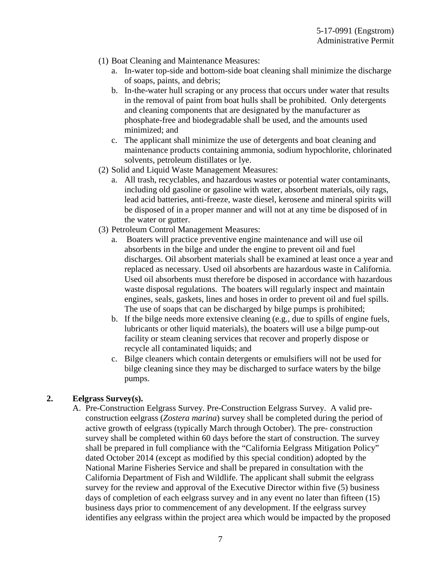- (1) Boat Cleaning and Maintenance Measures:
	- a. In-water top-side and bottom-side boat cleaning shall minimize the discharge of soaps, paints, and debris;
	- b. In-the-water hull scraping or any process that occurs under water that results in the removal of paint from boat hulls shall be prohibited. Only detergents and cleaning components that are designated by the manufacturer as phosphate-free and biodegradable shall be used, and the amounts used minimized; and
	- c. The applicant shall minimize the use of detergents and boat cleaning and maintenance products containing ammonia, sodium hypochlorite, chlorinated solvents, petroleum distillates or lye.
- (2) Solid and Liquid Waste Management Measures:
	- a. All trash, recyclables, and hazardous wastes or potential water contaminants, including old gasoline or gasoline with water, absorbent materials, oily rags, lead acid batteries, anti-freeze, waste diesel, kerosene and mineral spirits will be disposed of in a proper manner and will not at any time be disposed of in the water or gutter.
- (3) Petroleum Control Management Measures:
	- a. Boaters will practice preventive engine maintenance and will use oil absorbents in the bilge and under the engine to prevent oil and fuel discharges. Oil absorbent materials shall be examined at least once a year and replaced as necessary. Used oil absorbents are hazardous waste in California. Used oil absorbents must therefore be disposed in accordance with hazardous waste disposal regulations. The boaters will regularly inspect and maintain engines, seals, gaskets, lines and hoses in order to prevent oil and fuel spills. The use of soaps that can be discharged by bilge pumps is prohibited;
	- b. If the bilge needs more extensive cleaning (e.g., due to spills of engine fuels, lubricants or other liquid materials), the boaters will use a bilge pump-out facility or steam cleaning services that recover and properly dispose or recycle all contaminated liquids; and
	- c. Bilge cleaners which contain detergents or emulsifiers will not be used for bilge cleaning since they may be discharged to surface waters by the bilge pumps.

### **2. Eelgrass Survey(s).**

A. Pre-Construction Eelgrass Survey. Pre-Construction Eelgrass Survey. A valid preconstruction eelgrass (*Zostera marina*) survey shall be completed during the period of active growth of eelgrass (typically March through October). The pre- construction survey shall be completed within 60 days before the start of construction. The survey shall be prepared in full compliance with the "California Eelgrass Mitigation Policy" dated October 2014 (except as modified by this special condition) adopted by the National Marine Fisheries Service and shall be prepared in consultation with the California Department of Fish and Wildlife. The applicant shall submit the eelgrass survey for the review and approval of the Executive Director within five (5) business days of completion of each eelgrass survey and in any event no later than fifteen (15) business days prior to commencement of any development. If the eelgrass survey identifies any eelgrass within the project area which would be impacted by the proposed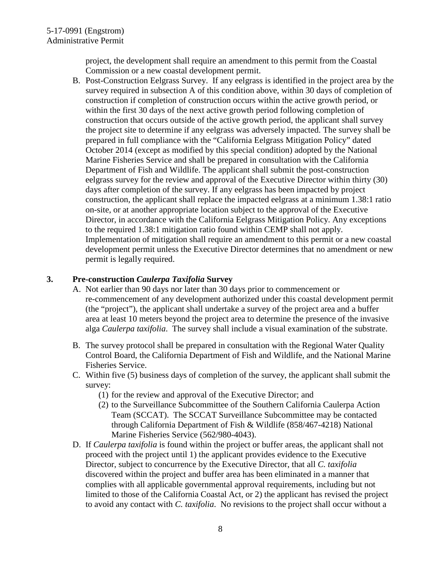project, the development shall require an amendment to this permit from the Coastal Commission or a new coastal development permit.

B. Post-Construction Eelgrass Survey. If any eelgrass is identified in the project area by the survey required in subsection A of this condition above, within 30 days of completion of construction if completion of construction occurs within the active growth period, or within the first 30 days of the next active growth period following completion of construction that occurs outside of the active growth period, the applicant shall survey the project site to determine if any eelgrass was adversely impacted. The survey shall be prepared in full compliance with the "California Eelgrass Mitigation Policy" dated October 2014 (except as modified by this special condition) adopted by the National Marine Fisheries Service and shall be prepared in consultation with the California Department of Fish and Wildlife. The applicant shall submit the post-construction eelgrass survey for the review and approval of the Executive Director within thirty (30) days after completion of the survey. If any eelgrass has been impacted by project construction, the applicant shall replace the impacted eelgrass at a minimum 1.38:1 ratio on-site, or at another appropriate location subject to the approval of the Executive Director, in accordance with the California Eelgrass Mitigation Policy. Any exceptions to the required 1.38:1 mitigation ratio found within CEMP shall not apply. Implementation of mitigation shall require an amendment to this permit or a new coastal development permit unless the Executive Director determines that no amendment or new permit is legally required.

### **3. Pre-construction** *Caulerpa Taxifolia* **Survey**

- A. Not earlier than 90 days nor later than 30 days prior to commencement or re-commencement of any development authorized under this coastal development permit (the "project"), the applicant shall undertake a survey of the project area and a buffer area at least 10 meters beyond the project area to determine the presence of the invasive alga *Caulerpa taxifolia*. The survey shall include a visual examination of the substrate.
- B. The survey protocol shall be prepared in consultation with the Regional Water Quality Control Board, the California Department of Fish and Wildlife, and the National Marine Fisheries Service.
- C. Within five (5) business days of completion of the survey, the applicant shall submit the survey:
	- (1) for the review and approval of the Executive Director; and
	- (2) to the Surveillance Subcommittee of the Southern California Caulerpa Action Team (SCCAT). The SCCAT Surveillance Subcommittee may be contacted through California Department of Fish & Wildlife (858/467-4218) National Marine Fisheries Service (562/980-4043).
- D. If *Caulerpa taxifolia* is found within the project or buffer areas, the applicant shall not proceed with the project until 1) the applicant provides evidence to the Executive Director, subject to concurrence by the Executive Director, that all *C. taxifolia* discovered within the project and buffer area has been eliminated in a manner that complies with all applicable governmental approval requirements, including but not limited to those of the California Coastal Act, or 2) the applicant has revised the project to avoid any contact with *C. taxifolia*. No revisions to the project shall occur without a